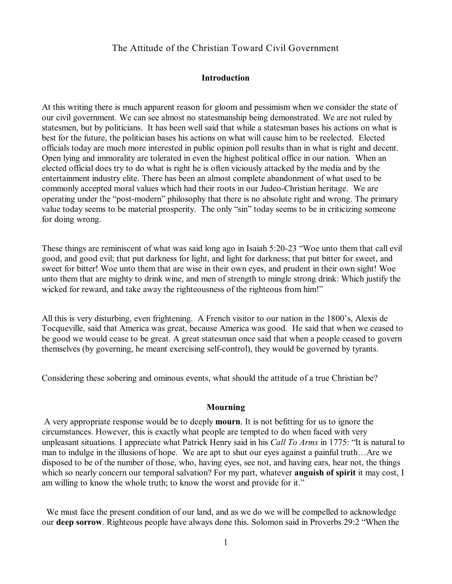# The Attitude of the Christian Toward Civil Government

#### **Introduction**

At this writing there is much apparent reason for gloom and pessimism when we consider the state of our civil government. We can see almost no statesmanship being demonstrated. We are not ruled by statesmen, but by politicians. It has been well said that while a statesman bases his actions on what is best for the future, the politician bases his actions on what will cause him to be reelected. Elected officials today are much more interested in public opinion poll results than in what is right and decent. Open lying and immorality are tolerated in even the highest political office in our nation. When an elected official does try to do what is right he is often viciously attacked by the media and by the entertainment industry elite. There has been an almost complete abandonment of what used to be commonly accepted moral values which had their roots in our Judeo-Christian heritage. We are operating under the "post-modern" philosophy that there is no absolute right and wrong. The primary value today seems to be material prosperity. The only "sin" today seems to be in criticizing someone for doing wrong.

These things are reminiscent of what was said long ago in Isaiah 5:20-23 "Woe unto them that call evil good, and good evil; that put darkness for light, and light for darkness; that put bitter for sweet, and sweet for bitter! Woe unto them that are wise in their own eyes, and prudent in their own sight! Woe unto them that are mighty to drink wine, and men of strength to mingle strong drink: Which justify the wicked for reward, and take away the righteousness of the righteous from him!"

All this is very disturbing, even frightening. A French visitor to our nation in the 1800's, Alexis de Tocqueville, said that America was great, because America was good. He said that when we ceased to be good we would cease to be great. A great statesman once said that when a people ceased to govern themselves (by governing, he meant exercising self-control), they would be governed by tyrants.

Considering these sobering and ominous events, what should the attitude of a true Christian be?

#### **Mourning**

A very appropriate response would be to deeply **mourn**. It is not befitting for us to ignore the circumstances. However, this is exactly what people are tempted to do when faced with very unpleasant situations. I appreciate what Patrick Henry said in his *Call To Arms* in 1775: "It is natural to man to indulge in the illusions of hope. We are apt to shut our eyes against a painful truth…Are we disposed to be of the number of those, who, having eyes, see not, and having ears, hear not, the things which so nearly concern our temporal salvation? For my part, whatever **anguish of spirit** it may cost, I am willing to know the whole truth; to know the worst and provide for it."

We must face the present condition of our land, and as we do we will be compelled to acknowledge our **deep sorrow**. Righteous people have always done this. Solomon said in Proverbs 29:2 "When the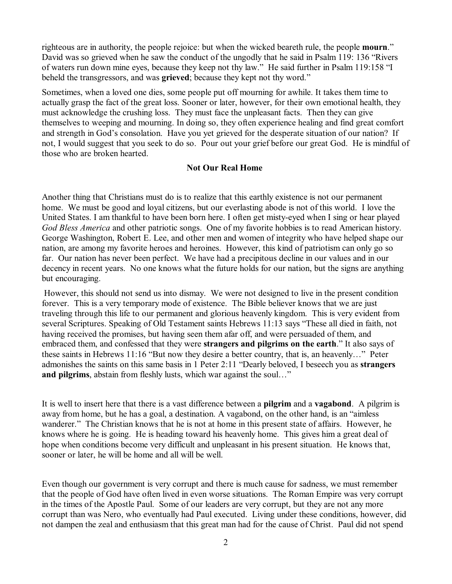righteous are in authority, the people rejoice: but when the wicked beareth rule, the people **mourn**." David was so grieved when he saw the conduct of the ungodly that he said in Psalm 119: 136 "Rivers of waters run down mine eyes, because they keep not thy law." He said further in Psalm 119:158 "I beheld the transgressors, and was **grieved**; because they kept not thy word."

Sometimes, when a loved one dies, some people put off mourning for awhile. It takes them time to actually grasp the fact of the great loss. Sooner or later, however, for their own emotional health, they must acknowledge the crushing loss. They must face the unpleasant facts. Then they can give themselves to weeping and mourning. In doing so, they often experience healing and find great comfort and strength in God's consolation. Have you yet grieved for the desperate situation of our nation? If not, I would suggest that you seek to do so. Pour out your grief before our great God. He is mindful of those who are broken hearted.

## **Not Our Real Home**

Another thing that Christians must do is to realize that this earthly existence is not our permanent home. We must be good and loyal citizens, but our everlasting abode is not of this world. I love the United States. I am thankful to have been born here. I often get misty-eyed when I sing or hear played *God Bless America* and other patriotic songs. One of my favorite hobbies is to read American history. George Washington, Robert E. Lee, and other men and women of integrity who have helped shape our nation, are among my favorite heroes and heroines. However, this kind of patriotism can only go so far. Our nation has never been perfect. We have had a precipitous decline in our values and in our decency in recent years. No one knows what the future holds for our nation, but the signs are anything but encouraging.

However, this should not send us into dismay. We were not designed to live in the present condition forever. This is a very temporary mode of existence. The Bible believer knows that we are just traveling through this life to our permanent and glorious heavenly kingdom. This is very evident from several Scriptures. Speaking of Old Testament saints Hebrews 11:13 says "These all died in faith, not having received the promises, but having seen them afar off, and were persuaded of them, and embraced them, and confessed that they were **strangers and pilgrims on the earth**." It also says of these saints in Hebrews 11:16 "But now they desire a better country, that is, an heavenly…" Peter admonishes the saints on this same basis in 1 Peter 2:11 "Dearly beloved, I beseech you as **strangers** and pilgrims, abstain from fleshly lusts, which war against the soul..."

It is well to insert here that there is a vast difference between a **pilgrim** and a **vagabond**. A pilgrim is away from home, but he has a goal, a destination. A vagabond, on the other hand, is an "aimless wanderer." The Christian knows that he is not at home in this present state of affairs. However, he knows where he is going. He is heading toward his heavenly home. This gives him a great deal of hope when conditions become very difficult and unpleasant in his present situation. He knows that, sooner or later, he will be home and all will be well.

Even though our government is very corrupt and there is much cause for sadness, we must remember that the people of God have often lived in even worse situations. The Roman Empire was very corrupt in the times of the Apostle Paul. Some of our leaders are very corrupt, but they are not any more corrupt than was Nero, who eventually had Paul executed. Living under these conditions, however, did not dampen the zeal and enthusiasm that this great man had for the cause of Christ. Paul did not spend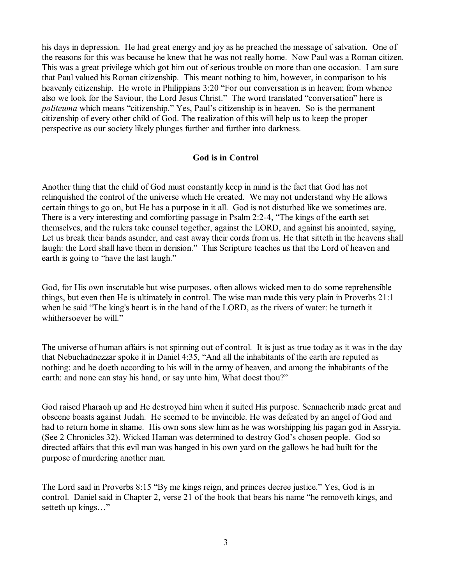his days in depression. He had great energy and joy as he preached the message of salvation. One of the reasons for this was because he knew that he was not really home. Now Paul was a Roman citizen. This was a great privilege which got him out of serious trouble on more than one occasion. I am sure that Paul valued his Roman citizenship. This meant nothing to him, however, in comparison to his heavenly citizenship. He wrote in Philippians 3:20 "For our conversation is in heaven; from whence also we look for the Saviour, the Lord Jesus Christ." The word translated "conversation" here is *politeuma* which means "citizenship." Yes, Paul's citizenship is in heaven. So is the permanent citizenship of every other child of God. The realization of this will help us to keep the proper perspective as our society likely plunges further and further into darkness.

#### **God is in Control**

Another thing that the child of God must constantly keep in mind is the fact that God has not relinquished the control of the universe which He created. We may not understand why He allows certain things to go on, but He has a purpose in it all. God is not disturbed like we sometimes are. There is a very interesting and comforting passage in Psalm 2:2-4, "The kings of the earth set themselves, and the rulers take counsel together, against the LORD, and against his anointed, saying, Let us break their bands asunder, and cast away their cords from us. He that sitteth in the heavens shall laugh: the Lord shall have them in derision." This Scripture teaches us that the Lord of heaven and earth is going to "have the last laugh."

God, for His own inscrutable but wise purposes, often allows wicked men to do some reprehensible things, but even then He is ultimately in control. The wise man made this very plain in Proverbs 21:1 when he said "The king's heart is in the hand of the LORD, as the rivers of water: he turneth it whithersoever he will."

The universe of human affairs is not spinning out of control. It is just as true today as it was in the day that Nebuchadnezzar spoke it in Daniel 4:35, "And all the inhabitants of the earth are reputed as nothing: and he doeth according to his will in the army of heaven, and among the inhabitants of the earth: and none can stay his hand, or say unto him, What doest thou?"

God raised Pharaoh up and He destroyed him when it suited His purpose. Sennacherib made great and obscene boasts against Judah. He seemed to be invincible. He was defeated by an angel of God and had to return home in shame. His own sons slew him as he was worshipping his pagan god in Assryia. (See 2 Chronicles 32). Wicked Haman was determined to destroy God's chosen people. God so directed affairs that this evil man was hanged in his own yard on the gallows he had built for the purpose of murdering another man.

The Lord said in Proverbs 8:15 "By me kings reign, and princes decree justice." Yes, God is in control. Daniel said in Chapter 2, verse 21 of the book that bears his name "he removeth kings, and setteth up kings..."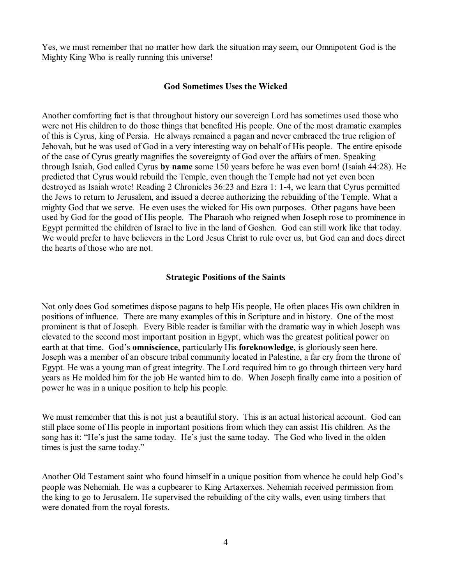Yes, we must remember that no matter how dark the situation may seem, our Omnipotent God is the Mighty King Who is really running this universe!

## **God Sometimes Uses the Wicked**

Another comforting fact is that throughout history our sovereign Lord has sometimes used those who were not His children to do those things that benefited His people. One of the most dramatic examples of this is Cyrus, king of Persia. He always remained a pagan and never embraced the true religion of Jehovah, but he was used of God in a very interesting way on behalf of His people. The entire episode of the case of Cyrus greatly magnifies the sovereignty of God over the affairs of men. Speaking through Isaiah, God called Cyrus **by name** some 150 years before he was even born! (Isaiah 44:28). He predicted that Cyrus would rebuild the Temple, even though the Temple had not yet even been destroyed as Isaiah wrote! Reading 2 Chronicles 36:23 and Ezra 1: 1-4, we learn that Cyrus permitted the Jews to return to Jerusalem, and issued a decree authorizing the rebuilding of the Temple. What a mighty God that we serve. He even uses the wicked for His own purposes. Other pagans have been used by God for the good of His people. The Pharaoh who reigned when Joseph rose to prominence in Egypt permitted the children of Israel to live in the land of Goshen. God can still work like that today. We would prefer to have believers in the Lord Jesus Christ to rule over us, but God can and does direct the hearts of those who are not.

## **Strategic Positions of the Saints**

Not only does God sometimes dispose pagans to help His people, He often places His own children in positions of influence. There are many examples of this in Scripture and in history. One of the most prominent is that of Joseph. Every Bible reader is familiar with the dramatic way in which Joseph was elevated to the second most important position in Egypt, which was the greatest political power on earth at that time. God's **omniscience**, particularly His **foreknowledge**, is gloriously seen here. Joseph was a member of an obscure tribal community located in Palestine, a far cry from the throne of Egypt. He was a young man of great integrity. The Lord required him to go through thirteen very hard years as He molded him for the job He wanted him to do. When Joseph finally came into a position of power he was in a unique position to help his people.

We must remember that this is not just a beautiful story. This is an actual historical account. God can still place some of His people in important positions from which they can assist His children. As the song has it: "He's just the same today. He's just the same today. The God who lived in the olden times is just the same today."

Another Old Testament saint who found himself in a unique position from whence he could help God's people was Nehemiah. He was a cupbearer to King Artaxerxes. Nehemiah received permission from the king to go to Jerusalem. He supervised the rebuilding of the city walls, even using timbers that were donated from the royal forests.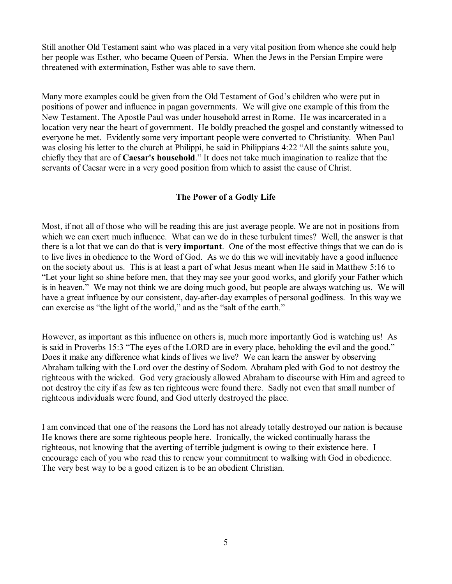Still another Old Testament saint who was placed in a very vital position from whence she could help her people was Esther, who became Queen of Persia. When the Jews in the Persian Empire were threatened with extermination, Esther was able to save them.

Many more examples could be given from the Old Testament of God's children who were put in positions of power and influence in pagan governments. We will give one example of this from the New Testament. The Apostle Paul was under household arrest in Rome. He was incarcerated in a location very near the heart of government. He boldly preached the gospel and constantly witnessed to everyone he met. Evidently some very important people were converted to Christianity. When Paul was closing his letter to the church at Philippi, he said in Philippians 4:22 "All the saints salute you, chiefly they that are of **Caesar's household**." It does not take much imagination to realize that the servants of Caesar were in a very good position from which to assist the cause of Christ.

# **The Power of a Godly Life**

Most, if not all of those who will be reading this are just average people. We are not in positions from which we can exert much influence. What can we do in these turbulent times? Well, the answer is that there is a lot that we can do that is **very important**. One of the most effective things that we can do is to live lives in obedience to the Word of God. As we do this we will inevitably have a good influence on the society about us. This is at least a part of what Jesus meant when He said in Matthew 5:16 to "Let your light so shine before men, that they may see your good works, and glorify your Father which is in heaven." We may not think we are doing much good, but people are always watching us. We will have a great influence by our consistent, day-after-day examples of personal godliness. In this way we can exercise as "the light of the world," and as the "salt of the earth."

However, as important as this influence on others is, much more importantly God is watching us! As is said in Proverbs 15:3 "The eyes of the LORD are in every place, beholding the evil and the good." Does it make any difference what kinds of lives we live? We can learn the answer by observing Abraham talking with the Lord over the destiny of Sodom. Abraham pled with God to not destroy the righteous with the wicked. God very graciously allowed Abraham to discourse with Him and agreed to not destroy the city if as few as ten righteous were found there. Sadly not even that small number of righteous individuals were found, and God utterly destroyed the place.

I am convinced that one of the reasons the Lord has not already totally destroyed our nation is because He knows there are some righteous people here. Ironically, the wicked continually harass the righteous, not knowing that the averting of terrible judgment is owing to their existence here. I encourage each of you who read this to renew your commitment to walking with God in obedience. The very best way to be a good citizen is to be an obedient Christian.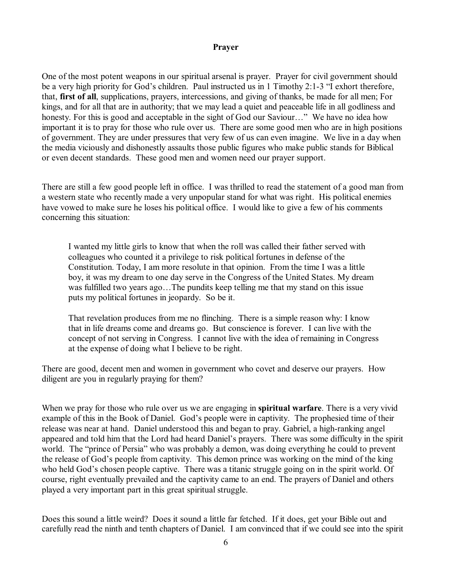#### **Prayer**

One of the most potent weapons in our spiritual arsenal is prayer. Prayer for civil government should be a very high priority for God's children. Paul instructed us in 1 Timothy 2:1-3 "I exhort therefore, that, **first of all**, supplications, prayers, intercessions, and giving of thanks, be made for all men; For kings, and for all that are in authority; that we may lead a quiet and peaceable life in all godliness and honesty. For this is good and acceptable in the sight of God our Saviour..." We have no idea how important it is to pray for those who rule over us. There are some good men who are in high positions of government. They are under pressures that very few of us can even imagine. We live in a day when the media viciously and dishonestly assaults those public figures who make public stands for Biblical or even decent standards. These good men and women need our prayer support.

There are still a few good people left in office. I was thrilled to read the statement of a good man from a western state who recently made a very unpopular stand for what was right. His political enemies have vowed to make sure he loses his political office. I would like to give a few of his comments concerning this situation:

I wanted my little girls to know that when the roll was called their father served with colleagues who counted it a privilege to risk political fortunes in defense of the Constitution. Today, I am more resolute in that opinion. From the time I was a little boy, it was my dream to one day serve in the Congress of the United States. My dream was fulfilled two years ago…The pundits keep telling me that my stand on this issue puts my political fortunes in jeopardy. So be it.

That revelation produces from me no flinching. There is a simple reason why: I know that in life dreams come and dreams go. But conscience is forever. I can live with the concept of not serving in Congress. I cannot live with the idea of remaining in Congress at the expense of doing what I believe to be right.

There are good, decent men and women in government who covet and deserve our prayers. How diligent are you in regularly praying for them?

When we pray for those who rule over us we are engaging in **spiritual warfare**. There is a very vivid example of this in the Book of Daniel. God's people were in captivity. The prophesied time of their release was near at hand. Daniel understood this and began to pray. Gabriel, a high-ranking angel appeared and told him that the Lord had heard Daniel's prayers. There was some difficulty in the spirit world. The "prince of Persia" who was probably a demon, was doing everything he could to prevent the release of God's people from captivity. This demon prince was working on the mind of the king who held God's chosen people captive. There was a titanic struggle going on in the spirit world. Of course, right eventually prevailed and the captivity came to an end. The prayers of Daniel and others played a very important part in this great spiritual struggle.

Does this sound a little weird? Does it sound a little far fetched. If it does, get your Bible out and carefully read the ninth and tenth chapters of Daniel. I am convinced that if we could see into the spirit